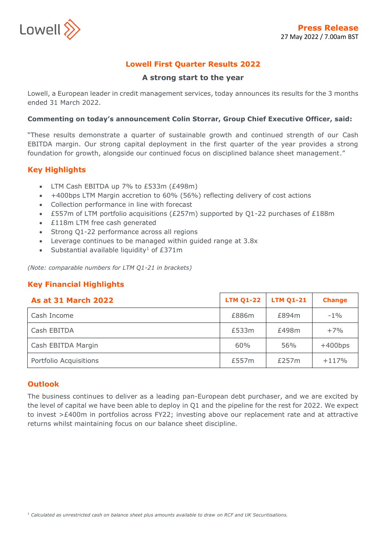

# **Lowell First Quarter Results 2022**

### **A strong start to the year**

Lowell, a European leader in credit management services, today announces its results for the 3 months ended 31 March 2022.

#### **Commenting on today's announcement Colin Storrar, Group Chief Executive Officer, said:**

"These results demonstrate a quarter of sustainable growth and continued strength of our Cash EBITDA margin. Our strong capital deployment in the first quarter of the year provides a strong foundation for growth, alongside our continued focus on disciplined balance sheet management."

# **Key Highlights**

- LTM Cash EBITDA up 7% to £533m (£498m)
- +400bps LTM Margin accretion to 60% (56%) reflecting delivery of cost actions
- Collection performance in line with forecast
- £557m of LTM portfolio acquisitions (£257m) supported by Q1-22 purchases of £188m
- £118m LTM free cash generated
- Strong Q1-22 performance across all regions
- Leverage continues to be managed within guided range at 3.8x
- Substantial available liquidity<sup>1</sup> of  $£371m$

*(Note: comparable numbers for LTM Q1-21 in brackets)*

# **Key Financial Highlights**

| <b>As at 31 March 2022</b> | <b>LTM Q1-22</b> | <b>LTM 01-21</b> | <b>Change</b> |
|----------------------------|------------------|------------------|---------------|
| Cash Income                | £886m            | £894m            | $-1\%$        |
| Cash EBITDA                | £533m            | £498m            | $+7%$         |
| Cash EBITDA Margin         | 60%              | 56%              | $+400bps$     |
| Portfolio Acquisitions     | £557m            | £257m            | $+117%$       |

### **Outlook**

The business continues to deliver as a leading pan-European debt purchaser, and we are excited by the level of capital we have been able to deploy in Q1 and the pipeline for the rest for 2022. We expect to invest >£400m in portfolios across FY22; investing above our replacement rate and at attractive returns whilst maintaining focus on our balance sheet discipline.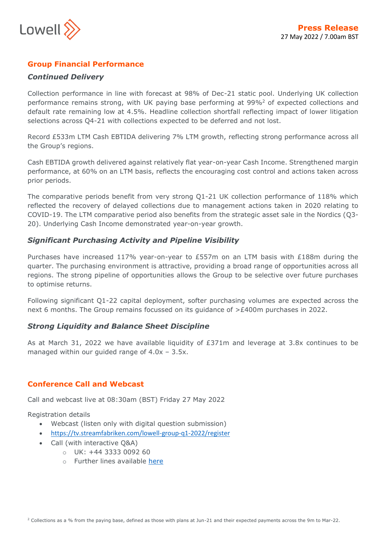

# **Group Financial Performance**

### *Continued Delivery*

Collection performance in line with forecast at 98% of Dec-21 static pool. Underlying UK collection performance remains strong, with UK paying base performing at 99%<sup>2</sup> of expected collections and default rate remaining low at 4.5%. Headline collection shortfall reflecting impact of lower litigation selections across Q4-21 with collections expected to be deferred and not lost.

Record £533m LTM Cash EBTIDA delivering 7% LTM growth, reflecting strong performance across all the Group's regions.

Cash EBTIDA growth delivered against relatively flat year-on-year Cash Income. Strengthened margin performance, at 60% on an LTM basis, reflects the encouraging cost control and actions taken across prior periods.

The comparative periods benefit from very strong Q1-21 UK collection performance of 118% which reflected the recovery of delayed collections due to management actions taken in 2020 relating to COVID-19. The LTM comparative period also benefits from the strategic asset sale in the Nordics (Q3- 20). Underlying Cash Income demonstrated year-on-year growth.

# *Significant Purchasing Activity and Pipeline Visibility*

Purchases have increased 117% year-on-year to £557m on an LTM basis with £188m during the quarter. The purchasing environment is attractive, providing a broad range of opportunities across all regions. The strong pipeline of opportunities allows the Group to be selective over future purchases to optimise returns.

Following significant Q1-22 capital deployment, softer purchasing volumes are expected across the next 6 months. The Group remains focussed on its guidance of >£400m purchases in 2022.

### *Strong Liquidity and Balance Sheet Discipline*

As at March 31, 2022 we have available liquidity of £371m and leverage at 3.8x continues to be managed within our guided range of  $4.0x - 3.5x$ .

### **Conference Call and Webcast**

Call and webcast live at 08:30am (BST) Friday 27 May 2022

Registration details

- Webcast (listen only with digital question submission)
- <https://tv.streamfabriken.com/lowell-group-q1-2022/register>
- Call (with interactive Q&A)
	- o UK: +44 3333 0092 60
	- o Further lines available [here](https://www.lowell.com/hubfs/News-Announcements/Documents/Our%20Q1-22%20Results.pdf?hsLang=en)